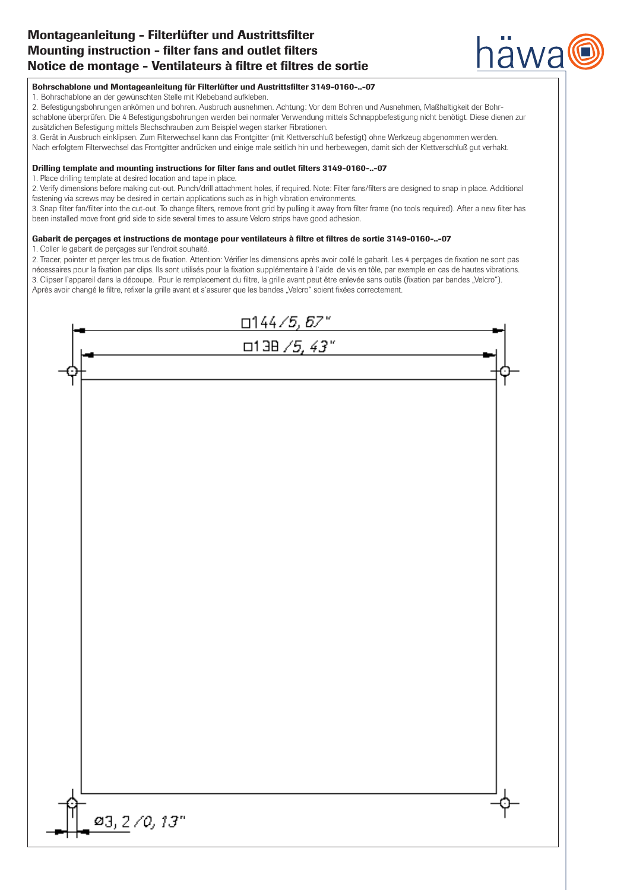# Montageanleitung - Filterlüfter und Austrittsfilter Montageanleitung - Filterlüfter und Austrittsfilter Mounting instruction - filter fans and outlet filters Mounting instruction - filter fans and outlet filters Notice de montage - Ventilateurs à filtre et filtres de sortie Notice de montage - Ventilateurs à filtre et filtres de sortie



## Bohrschablone und Montageanleitung für Filterlüfter und Austrittsfilter 3149-0160-..-07

Bohrschablone and Montageanleitung für Filterlätter und Austrittsmiter 3149-0160-..-07<br>1. Bohrschablone an der gewünschten Stelle mit Klebeband aufkleben.

- 1. Bohrschabione an der gewünschten otene mit Klebeband aunkeben.<br>2. Befestigungsbohrungen ankörnen und bohren. Ausbruch ausnehmen. Achtung: Vor dem Bohren und Ausnehmen, Maßhaltigkeit der Bohr-
- er beiesigengsbornungen anvenden und bonden. Ausbrüch ausnehmen. Achtangr vor dem bonden und Ausnehmen, wassnaugkeit der bonn<br>schablone überprüfen. Die 4 Befestigungsbohrungen werden bei normaler Verwendung mittels Schnapp zusätzlichen Befestigung mittels Blechschrauben zum Beispiel wegen starker Fibrationen. iablone überprüfen. Die 4 Befestigungsbohrungen werden bei normaler verwendung mittels Schnappbefestigung mehr benötigt. Diese dienen zur<br>Bislieben Befestigung mittels Bleebeschappberuher zum Beieriglungen sterler Eibretig
- zusätzlichen beiestigung mittels bied isomatiben zum beispiel wegen starker Fibrationen.<br>3. Gerät in Ausbruch einklipsen. Zum Filterwechsel kann das Frontgitter (mit Klettverschluß befestigt) ohne Werkzeug abgenommen werde
- of defacility aspidententalpsen. Zum nichwechser kann das nonighter (mit Nettverschlus berestigt) omre werkzeug abgenommen werden.<br>Nach erfolgtem Filterwechsel das Frontgitter andrücken und einige male seitlich hin und her Nach erfolgtem Filterwechsel das Frontgitter andrücken und einige male seitlich hin und herbewegen, damit sich der Klettverschluß gut verhakt.

## Drilling template and mounting instructions for filter fans and outlet filters 3149-0160-..-07 Drilling template and mounting instructions for filter fans and outlet filters 3149-0160-..-07

1. Place drilling template at desired location and tape in place.

r. Place drilling template at desired location and tape in place.<br>2. Verify dimensions before making cut-out. Punch/drill attachment holes, if required. Note: Filter fans/filters are designed to snap in place. Additional fastening via screws may be desired in certain applications such as in high vibration environments. 2. Verify dimensions before making cut-out. Punch/drill attachment holes, if required. Note: Filter fans/filters are designed to snap in place. Additional

rasterning via screws may be desired in certain applications such as in nigh vibration environments.<br>3. Snap filter fan/filter into the cut-out. To change filters, remove front grid by pulling it away from filter frame (no been installed move front grid side to side several times to assure Velcro strips have good adhesion. been installed move front grid side to side several times to assure Velcro strips have good adhesion. 3. Snap filter fan/filter into the cut-out. To change filters, remove front grid by pulling it away from filter frame (no tools required). After a new filter has

## Gabarit de perçages et instructions de montage pour ventilateurs à filtre et filtres de sortie 3149-0160-..-07 Gabarit de perçages et instructions de montage pour ventilateurs à filtre et filtres de sortie 3149-0160-..-07

1. Coller le gabarit de perçages sur I'endroit souhaité.

n. Coller le gabarit de perçages sur rendroit souhaité.<br>2. Tracer, pointer et perçer les trous de fixation. Attention: Vérifier les dimensions après avoir collé le gabarit. Les 4 perçages de fixation ne sont pas nécessaires pour la fixation par clips. Ils sont utilisés pour la fixation supplémentaire à l'aide de vis en tôle, par exemple en cas de hautes vibrations.<br>Ces distinctives 3. Clipser l'appareil dans la découpe. Pour le remplacement du filtre, la grille avant peut être enlevée sans outils (fixation par bandes "Velcro").<br>A l'action de la climatica de la climatica de la climatica de la climatic Après avoir changé le filtre, refixer la grille avant et s`assurer que les bandes "Velcro" soient fixées correctement. 2. Tracer, pointer et perçer les trous de fixation. Attention: Vérifier les dimensions après avoir collé le gabarit. Les 4 perçages de fixation ne sont pas

| 144/5, 67"         |  |
|--------------------|--|
| $\Box$ 138 /5, 43" |  |
|                    |  |
|                    |  |
|                    |  |
|                    |  |
|                    |  |
|                    |  |
|                    |  |
|                    |  |
|                    |  |
|                    |  |
|                    |  |
|                    |  |
|                    |  |
|                    |  |
|                    |  |
|                    |  |
|                    |  |
|                    |  |
|                    |  |
|                    |  |
|                    |  |
| 03, 2/0, 13"       |  |
|                    |  |